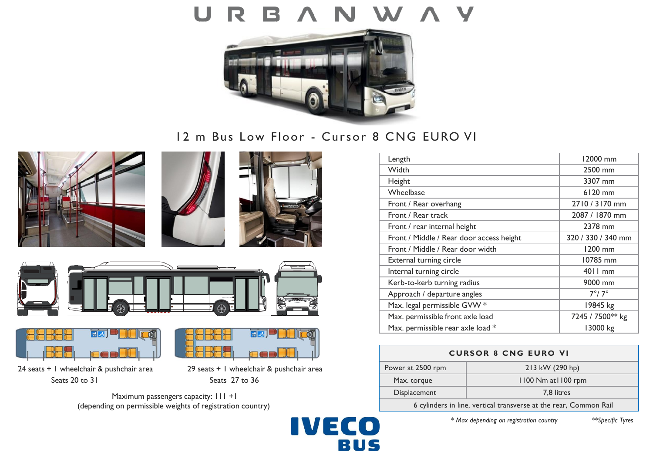# U



# 12 m Bus Low Floor - Cursor 8 CNG EURO VI











24 seats + 1 wheelchair & pushchair area 29 seats + 1 wheelchair & pushchair area Seats 20 to 31 Seats 27 to 36

न्र

Maximum passengers capacity:  $111 +1$ (depending on permissible weights of registration country)



| Length                                   | 12000 mm           |
|------------------------------------------|--------------------|
| Width                                    | 2500 mm            |
| Height                                   | 3307 mm            |
| Wheelbase                                | 6120 mm            |
| Front / Rear overhang                    | 2710 / 3170 mm     |
| Front / Rear track                       | 2087 / 1870 mm     |
| Front / rear internal height             | 2378 mm            |
| Front / Middle / Rear door access height | 320 / 330 / 340 mm |
| Front / Middle / Rear door width         | 1200 mm            |
| External turning circle                  | 10785 mm           |
| Internal turning circle                  | 4011 mm            |
| Kerb-to-kerb turning radius              | 9000 mm            |
| Approach / departure angles              | $7^\circ/7^\circ$  |
| Max. legal permissible GVW *             | 19845 kg           |
| Max. permissible front axle load         | 7245 / 7500** kg   |
| Max. permissible rear axle load *        | 13000 kg           |

| <b>CURSOR 8 CNG EURO VI</b>                                       |                     |
|-------------------------------------------------------------------|---------------------|
| Power at 2500 rpm                                                 | 213 kW (290 hp)     |
| Max. torque                                                       | 1100 Nm at 1100 rpm |
| Displacement                                                      | 7,8 litres          |
| 6 cylinders in line, vertical transverse at the rear, Common Rail |                     |

*\* Max depending on registration country \*\*Specific Tyres*